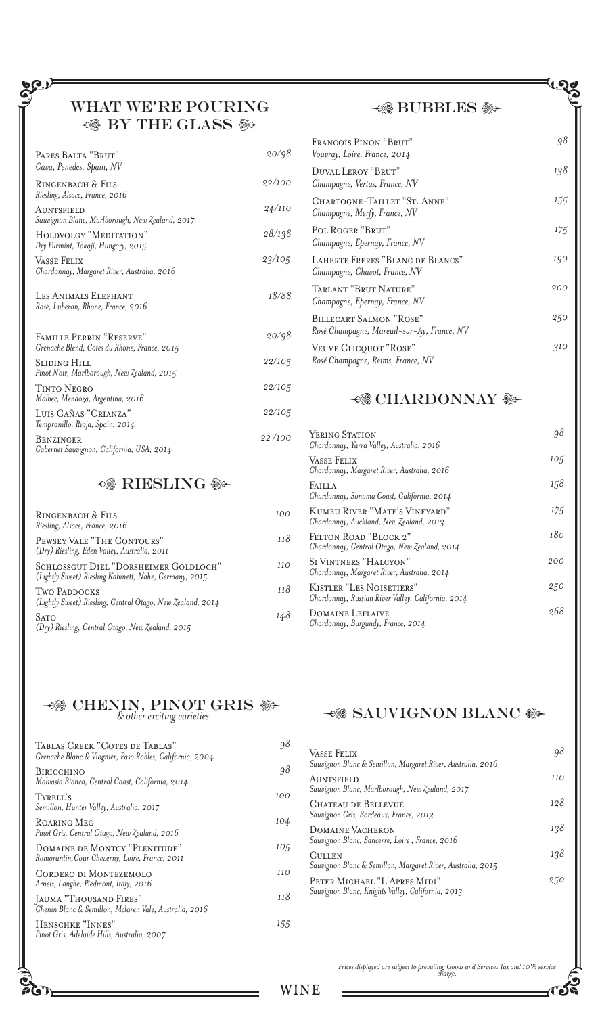## WHAT WE'RE POURING  $\rightarrow$  BY THE GLASS  $\rightarrow$

| PARES BALTA "BRUT"<br>Cava, Penedes, Spain, NV                                  | 20/98  |
|---------------------------------------------------------------------------------|--------|
| RINGENBACH & FILS<br>Riesling, Alsace, France, 2016                             | 22/100 |
| <b>AUNTSFIELD</b><br>Sauvignon Blanc, Marlborough, New Zealand, 2017            | 24/110 |
| HOLDVOLGY "MEDITATION"<br>Dry Furmint, Tokaji, Hungary, 2015                    | 28/138 |
| <b>VASSE FELIX</b><br>Chardonnay, Margaret River, Australia, 2016               | 23/105 |
| LES ANIMALS ELEPHANT<br>Rosé, Luberon, Rhone, France, 2016                      | 18/88  |
| <b>FAMILLE PERRIN "RESERVE"</b><br>Grenache Blend, Cotes du Rhone, France, 2015 | 20/98  |
| <b>SLIDING HILL</b><br>Pinot Noir, Marlborough, New Zealand, 2015               | 22/105 |
| <b>TINTO NEGRO</b><br>Malbec, Mendoza, Argentina, 2016                          | 22/105 |
| LUIS CAÑAS "CRIANZA"<br>Tempranillo, Rioja, Spain, 2014                         | 22/105 |
| BENZINGER<br>Cabernet Sauvignon, California, USA, 2014                          | 22/100 |

#### **→ RIESLING**

| RINGENBACH & FILS<br>Riesling, Alsace, France, 2016                                             | 100 |
|-------------------------------------------------------------------------------------------------|-----|
| PEWSEY VALE "THE CONTOURS"<br>(Dry) Riesling, Eden Valley, Australia, 2011                      | 118 |
| SCHLOSSGUT DIEL "DORSHEIMER GOLDLOCH"<br>(Lightly Sweet) Riesling Kabinett, Nahe, Germany, 2015 | 110 |
| Two Paddocks<br>(Lightly Sweet) Riesling, Central Otago, New Zealand, 2014                      | 118 |
| <b>SATO</b><br>(Dry) Riesling, Central Otago, New Zealand, 2015                                 | 148 |

## **-**<sup>8</sup> BUBBLES <sup>\$</sup>

 $\mathbf{Q}$ 

| Francois Pinon "Brut"<br>Vouvray, Loire, France, 2014                 | 98  |
|-----------------------------------------------------------------------|-----|
| DUVAL LEROY "BRUT"<br>Champagne, Vertus, France, NV                   | 138 |
| CHARTOGNE-TAILLET "ST. ANNE"<br>Champagne, Merfy, France, NV          | 155 |
| POL ROGER "BRUT"<br>Champagne, Epernay, France, NV                    | 175 |
| LAHERTE FRERES "BLANC DE BLANCS"<br>Champagne, Chavot, France, NV     | 190 |
| TARLANT "BRUT NATURE"<br>Champagne, Epernay, France, NV               | 200 |
| BILLECART SALMON "ROSE"<br>Rosé Champagne, Mareuil-sur-Ay, France, NV | 250 |
| VEUVE CLICQUOT "ROSE"<br>Rosé Champagne, Reims, France, NV            | 310 |

## **-© CHARDONNAY ®**

| YERING STATION<br>Chardonnay, Yarra Valley, Australia, 2016                    | 98  |
|--------------------------------------------------------------------------------|-----|
| VASSE FELIX<br>Chardonnay, Margaret River, Australia, 2016                     | 105 |
| <b>FAILLA</b><br>Chardonnay, Sonoma Coast, California, 2014                    | 158 |
| KUMEU RIVER "MATE'S VINEYARD"<br>Chardonnay, Auckland, New Zealand, 2013       | 175 |
| FELTON ROAD "BLOCK 2"<br>Chardonnay, Central Otago, New Zealand, 2014          | 180 |
| SI VINTNERS "HALCYON"<br>Chardonnay, Margaret River, Australia, 2014           | 200 |
| KISTLER "LES NOISETIERS"<br>Chardonnay, Russian River Valley, California, 2014 | 250 |
| <b>DOMAINE LEFLAIVE</b><br>Chardonnay, Burgundy, France, 2014                  | 268 |

# CHENIN, PINOT GRIS *& other exciting varieties*

| TABLAS CREEK "COTES DE TABLAS"<br>Grenache Blanc & Viognier, Paso Robles, California, 2004 | 98  |
|--------------------------------------------------------------------------------------------|-----|
| BIRICCHINO<br>Malvasia Bianca, Central Coast, California, 2014                             | 98  |
| TYRELL'S<br>Semillon, Hunter Valley, Australia, 2017                                       | 100 |
| <b>ROARING MEG</b><br>Pinot Gris, Central Otago, New Zealand, 2016                         | 104 |
| DOMAINE DE MONTCY "PLENITUDE"<br>Romorantin, Cour Cheverny, Loire, France, 2011            | 105 |
| CORDERO DI MONTEZEMOLO<br>Arneis, Langhe, Piedmont, Italy, 2016                            | 110 |
| JAUMA "THOUSAND FIRES"<br>Chenin Blanc & Semillon, Mclaren Vale, Australia, 2016           | 118 |
| HENSCHKE "INNES"<br>Pinot Gris, Adelaide Hills, Australia, 2007                            | 155 |

## → SAUVIGNON BLANC

| <b>VASSE FELIX</b><br>Sauvignon Blanc & Semillon, Margaret River, Australia, 2016 | 98  |
|-----------------------------------------------------------------------------------|-----|
| <b>AUNTSFIELD</b><br>Sauvignon Blanc, Marlborough, New Zealand, 2017              | 110 |
| CHATEAU DE BELLEVUE<br>Sauvignon Gris, Bordeaux, France, 2013                     | 128 |
| <b>DOMAINE VACHERON</b><br>Sauvignon Blanc, Sancerre, Loire, France, 2016         | 138 |
| <b>CULLEN</b><br>Sauvignon Blanc & Semillon, Margaret River, Australia, 2015      | 138 |
| PETER MICHAEL "L'APRES MIDI"<br>Sauvignon Blanc, Knights Valley, California, 2013 | 250 |

*Prices displayed are subject to prevailing Goods and Services Tax and 10% service charge.*

-5

**WINE**